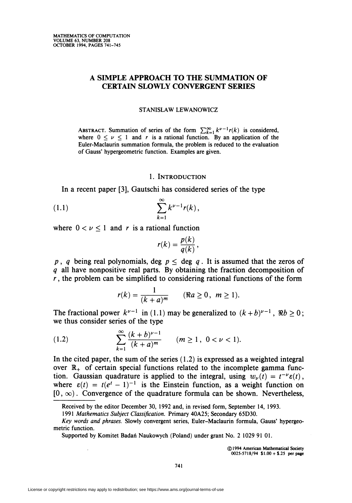# A SIMPLE APPROACH TO THE SUMMATION OF CERTAIN SLOWLY CONVERGENT SERIES

#### STANISLAW LEWANOWICZ

ABSTRACT. Summation of series of the form  $\sum_{k=1}^{\infty} k^{\nu-1} r(k)$  is considered, where  $0 \leq \nu \leq 1$  and r is a rational function. By an application of the Euler-Maclaurin summation formula, the problem is reduced to the evaluation of Gauss' hypergeometric function. Examples are given.

### 1. Introduction

In a recent paper [3], Gautschi has considered series of the type

(1.1) 
$$
\sum_{k=1}^{\infty} k^{\nu-1} r(k),
$$

where  $0 < \nu \leq 1$  and r is a rational function

$$
r(k) = \frac{p(k)}{q(k)},
$$

p, q being real polynomials, deg  $p \leq$  deg q. It is assumed that the zeros of q all have nonpositive real parts. By obtaining the fraction decomposition of  $r$ , the problem can be simplified to considering rational functions of the form

$$
r(k)=\frac{1}{(k+a)^m}\qquad (\Re a\geq 0\,,\ \ m\geq 1).
$$

The fractional power  $k^{\nu-1}$  in (1.1) may be generalized to  $(k + b)^{\nu-1}$ ,  $\Re b \ge 0$ ; we thus consider series of the type

(1.2) 
$$
\sum_{k=1}^{\infty} \frac{(k+b)^{\nu-1}}{(k+a)^m} \qquad (m \ge 1, 0 < \nu < 1).
$$

In the cited paper, the sum of the series  $(1.2)$  is expressed as a weighted integral over  $\mathbb{R}_+$  of certain special functions related to the incomplete gamma function. Gaussian quadrature is applied to the integral, using  $w_{\nu}(t) = t^{-\nu} \varepsilon(t)$ , where  $\varepsilon(t) = t(e^t - 1)^{-1}$  is the Einstein function, as a weight function on  $[0, \infty)$ . Convergence of the quadrature formula can be shown. Nevertheless,

©1994 American Mathematical Society  $0025 - 5718/94$  \$1.00 + \$.25 per page

Received by the editor December 30, 1992 and, in revised form, September 14, 1993.

<sup>1991</sup> Mathematics Subject Classification. Primary 40A25; Secondary 65D30.

Key words and phrases. Slowly convergent series, Euler-Maclaurin formula, Gauss' hypergeometric function.

Supported by Komitet Badań Naukowych (Poland) under grant No. 2 1029 91 01.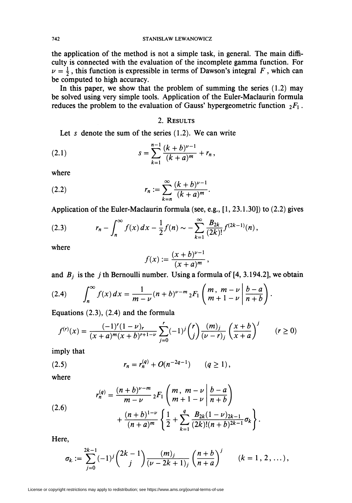the application of the method is not a simple task, in general. The main difficulty is connected with the evaluation of the incomplete gamma function. For  $\nu = \frac{1}{2}$ , this function is expressible in terms of Dawson's integral F, which can be computed to high accuracy.

In this paper, we show that the problem of summing the series  $(1.2)$  may be solved using very simple tools. Application of the Euler-Maclaurin formula reduces the problem to the evaluation of Gauss' hypergeometric function  $_2F_1$ .

## 2. RESULTS

Let s denote the sum of the series  $(1.2)$ . We can write

(2.1) 
$$
s = \sum_{k=1}^{n-1} \frac{(k+b)^{\nu-1}}{(k+a)^m} + r_n,
$$

where

(2.2) 
$$
r_n := \sum_{k=n}^{\infty} \frac{(k+b)^{\nu-1}}{(k+a)^m}.
$$

Application of the Euler-Maclaurin formula (see, e.g., [1, 23.1.30]) to (2.2) gives

(2.3) 
$$
r_n - \int_n^{\infty} f(x) dx - \frac{1}{2} f(n) \sim - \sum_{k=1}^{\infty} \frac{B_{2k}}{(2k)!} f^{(2k-1)}(n),
$$

where

$$
f(x) := \frac{(x+b)^{\nu-1}}{(x+a)^m},
$$

and  $B_j$  is the j th Bernoulli number. Using a formula of [4, 3.194.2], we obtain

(2.4) 
$$
\int_{n}^{\infty} f(x) dx = \frac{1}{m - \nu} (n + b)^{\nu - m} {}_{2}F_{1}\left(m, m - \nu \left|\frac{b - a}{n + b}\right.\right).
$$

Equations (2.3), (2.4) and the formula

$$
f^{(r)}(x) = \frac{(-1)^r (1 - \nu)_r}{(x + a)^m (x + b)^{r+1-\nu}} \sum_{j=0}^r (-1)^j {r \choose j} \frac{(m)_j}{(\nu - r)_j} \left(\frac{x + b}{x + a}\right)^j \qquad (r \ge 0)
$$

imply that

(2.5) 
$$
r_n = r_n^{(q)} + O(n^{-2q-1}) \qquad (q \ge 1),
$$

where

(2.6)  

$$
r_n^{(q)} = \frac{(n+b)^{\nu-m}}{m-\nu} {}_2F_1\left(m, m-\nu \left|\frac{b-a}{n+b}\right.\right) + \frac{(n+b)^{1-\nu}}{(n+a)^m} \left\{\frac{1}{2} + \sum_{k=1}^q \frac{B_{2k}(1-\nu)_{2k-1}}{(2k)!(n+b)^{2k-1}} \sigma_k\right\}
$$

Here,

$$
\sigma_k := \sum_{j=0}^{2k-1} (-1)^j {\binom{2k-1}{j}} \frac{(m)_j}{(\nu-2k+1)_j} {\binom{n+b}{n+a}}^j \qquad (k=1, 2, \ldots),
$$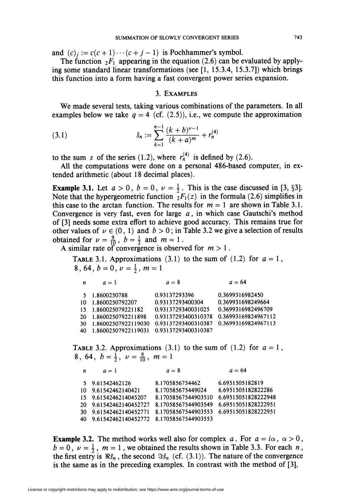and  $(c)_i := c(c + 1) \cdots (c + j - 1)$  is Pochhammer's symbol.

The function  $_2F_1$  appearing in the equation (2.6) can be evaluated by applying some standard linear transformations (see [1, 15.3.4, 15.3.7]) which brings this function into a form having a fast convergent power series expansion.

## 3. Examples

We made several tests, taking various combinations of the parameters. In all examples below we take  $q = 4$  (cf. (2.5)), i.e., we compute the approximation

(3.1) 
$$
\tilde{s}_n := \sum_{k=1}^{n-1} \frac{(k+b)^{\nu-1}}{(k+a)^m} + r_n^{(4)}
$$

to the sum s of the series (1.2), where  $r_n^{(4)}$  is defined by (2.6).

All the computations were done on a personal 486-based computer, in extended arithmetic (about 18 decimal places).

**Example 3.1.** Let  $a > 0$ ,  $b = 0$ ,  $v = \frac{1}{2}$ . This is the case discussed in [3, §3]. Note that the hypergeometric function  ${}_{2}F_{1}(z)$  in the formula (2.6) simplifies in this case to the arctan function. The results for  $m = 1$  are shown in Table 3.1. Convergence is very fast, even for large  $a$ , in which case Gautschi's method of [3] needs some extra effort to achieve good accuracy. This remains true for other values of  $\nu \in (0, 1)$  and  $b > 0$ ; in Table 3.2 we give a selection of results obtained for  $\nu = \frac{9}{10}$ ,  $b = \frac{1}{2}$  and  $m = 1$ .

A similar rate of convergence is observed for  $m > 1$ .

TABLE 3.1. Approximations (3.1) to the sum of (1.2) for  $a = 1$ , 8, 64,  $b = 0$ ,  $\nu = \frac{1}{2}$ ,  $m = 1$ 

| n  | $a=1$               | $a=8$               | $a = 64$            |
|----|---------------------|---------------------|---------------------|
|    | 5 1.8600250788      | 0.93137293396       | 0.3699316982450     |
| 10 | 1.8600250792207     | 0.93137293400304    | 0.369931698249664   |
| 15 | 1.860025079221182   | 0.9313729340031025  | 0.3699316982496709  |
| 20 | 1.8600250792211898  | 0.93137293400310378 | 0.36993169824967112 |
| 30 | 1.86002507922119030 | 0.93137293400310387 | 0.36993169824967113 |
| 40 | 1.86002507922119031 | 0.93137293400310387 |                     |

TABLE 3.2. Approximations (3.1) to the sum of (1.2) for  $a = 1$ , 8, 64,  $b = \frac{1}{2}$ ,  $\nu = \frac{9}{10}$ ,  $m=1$ 

| n  | $a=1$                                      | $a=8$                                   | $a = 64$            |
|----|--------------------------------------------|-----------------------------------------|---------------------|
|    | 5 9.61542462126                            | 8.1705856754462                         | 6.6951505182819     |
|    | 10 9.61542462140421                        | 8.170585675449024                       | 6.6951505182822286  |
|    | 15 9.6154246214045207                      | 8.17058567544903510                     | 6.69515051828222948 |
|    | 20 9.61542462140452727                     | 8.17058567544903549                     | 6.69515051828222951 |
| 30 | 9.61542462140452771                        | 8.17058567544903553 6.69515051828222951 |                     |
|    | 40 9.61542462140452772 8.17058567544903553 |                                         |                     |

**Example 3.2.** The method works well also for complex a. For  $a = i\alpha$ ,  $\alpha > 0$ ,  $b = 0$ ,  $\nu = \frac{1}{2}$ ,  $m = 1$ , we obtained the results shown in Table 3.3. For each n, the first entry is  $\Re \tilde{s}_n$ , the second  $\Im \tilde{s}_n$  (cf. (3.1)). The nature of the convergence is the same as in the preceding examples. In contrast with the method of [3],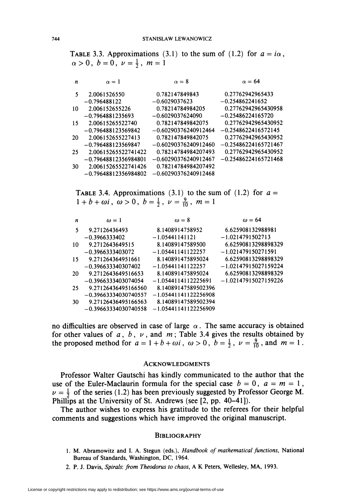TABLE 3.3. Approximations (3.1) to the sum of (1.2) for  $a = i\alpha$  $\alpha > 0$ ,  $b = 0$ ,  $\nu = \frac{1}{2}$ ,  $m = 1$ 

| n  | $\alpha = 1$           | $\alpha = 8$           | $\alpha = 64$          |
|----|------------------------|------------------------|------------------------|
| 5  | 2.0061526550           | 0.782147849843         | 0.27762942965433       |
|    | $-0.796488122$         | $-0.6029037623$        | $-0.254862241652$      |
| 10 | 2.006152655226         | 0.78214784984205       | 0.27762942965430958    |
|    | $-0.7964881235693$     | $-0.6029037624090$     | $-0.25486224165720$    |
| 15 | 2.00615265522740       | 0.782147849842075      | 0.27762942965430952    |
|    | $-0.796488123569842$   | $-0.60290376240912464$ | $-0.2548622416572145$  |
| 20 | 2.006152655227413      | 0.782147849842075      | 0.27762942965430952    |
|    | $-0.796488123569847$   | $-0.60290376240912460$ | $-0.25486224165721467$ |
| 25 | 2.00615265522741422    | 0.78214784984207493    | 0.27762942965430952    |
|    | $-0.79648812356984801$ | $-0.60290376240912467$ | $-0.25486224165721468$ |
| 30 | 2.00615265522741426    | 0.78214784984207492    |                        |
|    | $-0.79648812356984802$ | $-0.60290376240912468$ |                        |

TABLE 3.4. Approximations (3.1) to the sum of (1.2) for  $a =$  $1 + b + \omega i$ ,  $\omega > 0$ ,  $b = \frac{1}{2}$ ,  $\nu = \frac{9}{10}$ ,  $m = 1$ 

| n  | $\omega = 1$           | $\omega = 8$           | $\omega = 64$          |
|----|------------------------|------------------------|------------------------|
| 5  | 9.27126436493          | 8.1408914758952        | 6.625908132988981      |
|    | $-0.3966333402$        | $-1.05441141121$       | $-1.0214791502713$     |
| 10 | 9.2712643649515        | 8.14089147589500       | 6.62590813298898329    |
|    | $-0.3966333403072$     | $-1.05441141122257$    | $-1.021479150271591$   |
| 15 | 9.271264364951661      | 8.140891475895024      | 6.62590813298898329    |
|    | $-0.396633340307402$   | $-1.05441141122257$    | $-1.02147915027159224$ |
| 20 | 9.2712643649516653     | 8.140891475895024      | 6.62590813298898329    |
|    | $-0.3966333403074054$  | $-1.0544114112225691$  | $-1.02147915027159226$ |
| 25 | 9.27126436495166560    | 8.14089147589502396    |                        |
|    | $-0.39663334030740557$ | $-1.05441141122256908$ |                        |
| 30 | 9.27126436495166563    | 8.14089147589502394    |                        |
|    | $-0.39663334030740558$ | $-1.05441141122256909$ |                        |

no difficulties are observed in case of large  $\alpha$ . The same accuracy is obtained for other values of  $a$ ,  $b$ ,  $v$ , and  $m$ ; Table 3.4 gives the results obtained by the proposed method for  $a = 1 + b + \omega i$ ,  $\omega > 0$ ,  $b = \frac{1}{2}$ ,  $\nu = \frac{9}{10}$ , and  $m = 1$ .

#### Acknowledgments

Professor Walter Gautschi has kindly communicated to the author that the use of the Euler-Maclaurin formula for the special case  $b = 0$ ,  $a = m = 1$ ,  $\nu = \frac{1}{2}$  of the series (1.2) has been previously suggested by Professor George M. Phillips at the University of St. Andrews (see [2, pp. 40-41]).

The author wishes to express his gratitude to the referees for their helpful comments and suggestions which have improved the original manuscript.

### **BIBLIOGRAPHY**

- 1. M. Abramowitz and I. A. Stegun (eds.), Handbook of mathematical functions, National Bureau of Standards, Washington, DC, 1964.
- 2. P. J. Davis, Spirals: from Theodorus to chaos, A K Peters, Wellesley, MA, 1993.